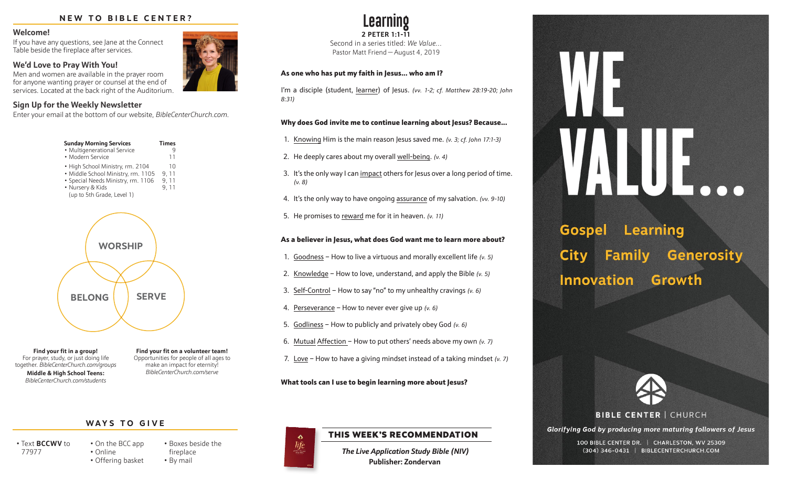#### **NEW TO BIBLE CENTER?**

#### **Welcome!**

If you have any questions, see Jane at the Connect Table beside the fireplace after services.

### **We'd Love to Pray With You!**

Men and women are available in the prayer room for anyone wanting prayer or counsel at the end of services. Located at the back right of the Auditorium.

### **Sign Up for the Weekly Newsletter**

Enter your email at the bottom of our website, *BibleCenterChurch.com.*



**Find your fit in a group!** For prayer, study, or just doing life together. *BibleCenterChurch.com/groups* **Middle & High School Teens:** *BibleCenterChurch.com/students*

**Find your fit on a volunteer team!** Opportunities for people of all ages to make an impact for eternity! *BibleCenterChurch.com/serve*

**Learning 2 PETER 1:1-11** Second in a series titled: *We Value…* Pastor Matt Friend — August 4, 2019

#### As one who has put my faith in Jesus... who am I?

I'm a disciple (student, learner) of Jesus. *(vv. 1-2; cf. Matthew 28:19-20; John 8:31)*

#### Why does God invite me to continue learning about Jesus? Because...

- 1. Knowing Him is the main reason Jesus saved me. *(v. 3; cf. John 17:1-3)*
- 2. He deeply cares about my overall well-being. *(v. 4)*
- 3. It's the only way I can impact others for Jesus over a long period of time. *(v. 8)*
- 4. It's the only way to have ongoing assurance of my salvation. *(vv. 9-10)*
- 5. He promises to reward me for it in heaven. *(v. 11)*

#### As a believer in Jesus, what does God want me to learn more about?

- 1. Goodness How to live a virtuous and morally excellent life *(v. 5)*
- 2. Knowledge How to love, understand, and apply the Bible *(v. 5)*
- 3. Self-Control How to say "no" to my unhealthy cravings *(v. 6)*
- 4. Perseverance How to never ever give up *(v. 6)*
- 5. Godliness How to publicly and privately obey God *(v. 6)*
- 6. Mutual Affection How to put others' needs above my own *(v. 7)*
- 7. Love How to have a giving mindset instead of a taking mindset *(v. 7)*

What tools can I use to begin learning more about Jesus?

#### **WAYS TO GIVE**

• Online

• Text **BCCWV** to 77977

• On the BCC app • Offering basket • Boxes beside the fireplace • By mail

 $\Delta$ life

# THIS WEEK'S RECOMMENDATION

*The Live Application Study Bible (NIV)* **Publisher: Zondervan**

**Gospel Learning** Generosity City Family **Innovation** Growth



# **BIBLE CENTER | CHURCH**

Glorifying God by producing more maturing followers of Jesus

100 BIBLE CENTER DR. | CHARLESTON, WV 25309 (304) 346-0431 | BIBLECENTERCHURCH.COM